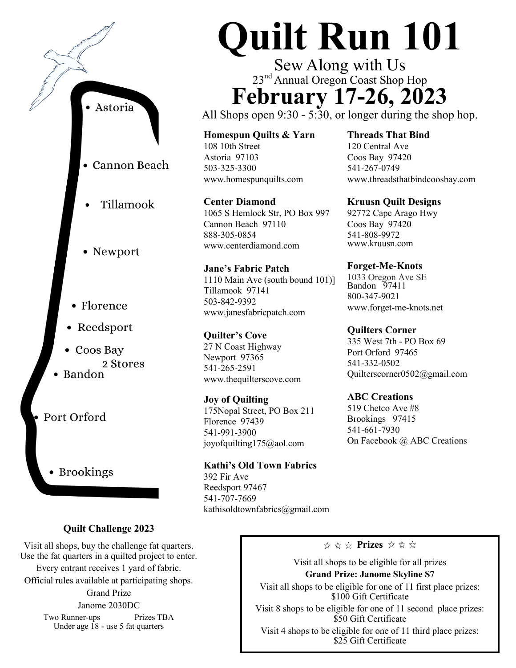

## **Quilt Challenge 2023**

Visit all shops, buy the challenge fat quarters. Use the fat quarters in a quilted project to enter. Every entrant receives 1 yard of fabric. Official rules available at participating shops. Grand Prize Janome 2030DC Two Runner-ups Prizes TBA Under age 18 - use 5 fat quarters

## **Quilt Run 101**

Sew Along with Us 23<sup>nd</sup> Annual Oregon Coast Shop Hop **February 17-26, 2023**

All Shops open 9:30 - 5:30, or longer during the shop hop.

**Homespun Quilts & Yarn** 108 10th Street Astoria 97103 503-325-3300 www.homespunquilts.com

**Center Diamond** 1065 S Hemlock Str, PO Box 997 Cannon Beach 97110 888-305-0854 www.centerdiamond.com

**Jane's Fabric Patch** 1110 Main Ave (south bound 101)] Tillamook 97141 503-842-9392 www.janesfabricpatch.com

**Quilter's Cove** 27 N Coast Highway Newport 97365 541-265-2591 www.thequilterscove.com

**Joy of Quilting** 175Nopal Street, PO Box 211 Florence 97439 541-991-3900 joyofquilting175@aol.com

**Kathi's Old Town Fabrics** 392 Fir Ave Reedsport 97467 541-707-7669 [kathisoldtownfabrics@gmail.com](mailto:kathisoldtownfabrics@gmail.com) **Threads That Bind** 120 Central Ave Coos Bay 97420 541-267-0749 www.threadsthatbindcoosbay.com

**Kruusn Quilt Designs** 92772 Cape Arago Hwy

Coos Bay 97420 541-808-9972 www.kruusn.com

**Forget-Me-Knots** 1033 Oregon Ave SE Bandon 97411 800-347-9021 www.forget-me-knots.net

**Quilters Corner** 335 West 7th - PO Box 69 Port Orford 97465 541-332-0502

Quilterscorner0502@gmail.com

**ABC Creations**  519 Chetco Ave #8 Brookings 97415 541-661-7930 On Facebook @ ABC Creations

## $\forall x \; \forall x \; \mathbf{Prizes} \; \mathbf{x} \; \mathbf{x} \; \mathbf{x}$

Visit all shops to be eligible for all prizes

**Grand Prize: Janome Skyline S7**

Visit all shops to be eligible for one of 11 first place prizes: \$100 Gift Certificate

Visit 8 shops to be eligible for one of 11 second place prizes: \$50 Gift Certificate

Visit 4 shops to be eligible for one of 11 third place prizes: \$25 Gift Certificate